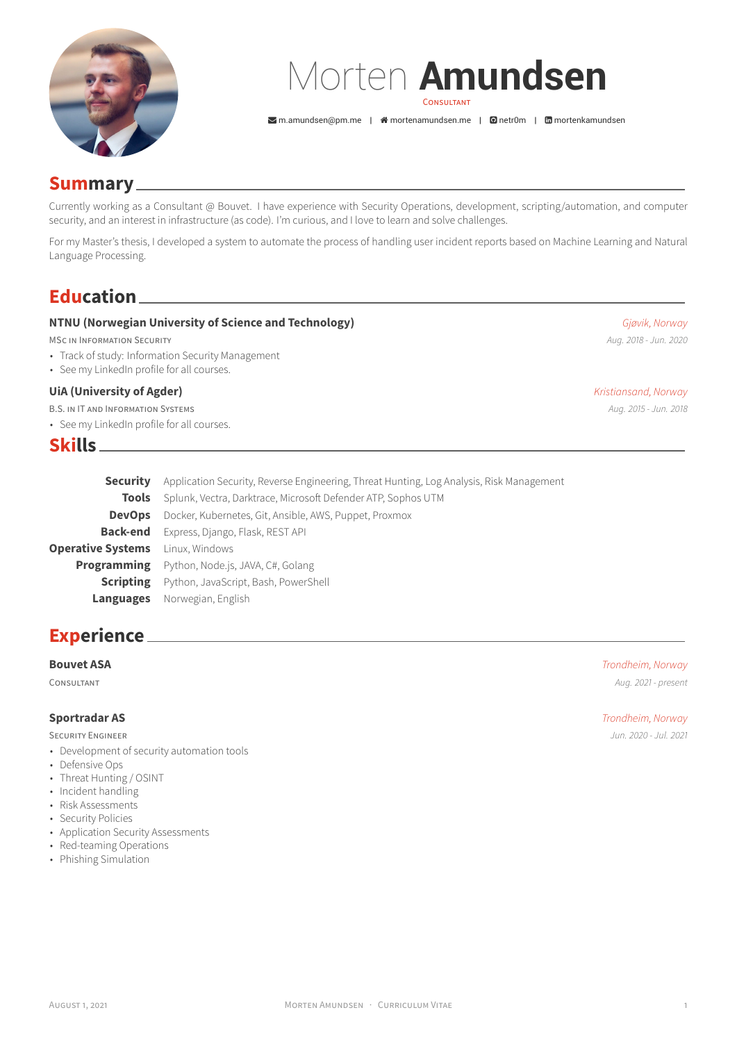

# Morten **Amundsen** CONSULTANT

 $\sum$ [m.amundsen@pm.me](mailto:m.amundsen@pm.me) |  $\hat{m}$  [mortenamundsen.me](http://mortenamundsen.me) |  $\hat{m}$  [netr0m](https://github.com/netr0m) |  $\hat{m}$  [mortenkamundsen](https://www.linkedin.com/in/mortenkamundsen)

## **Summary**

Currently working as a Consultant @ Bouvet. I have experience with Security Operations, development, scripting/automation, and computer security, and an interest in infrastructure (as code). I'm curious, and I love to learn and solve challenges.

For my Master's thesis, I developed a system to automate the process of handling user incident reports based on Machine Learning and Natural Language Processing.

## **Education**

### **NTNU (Norwegian University of Science and Technology)** *Gjøvik, Norway*

MSC IN INFORMATION SECURITY *Aug. 2018 - Jun. 2020*

- Track of study: Information Security Management
- See my LinkedIn profile for all courses.

### **UiA (University of Agder)** *Kristiansand, Norway*

B.S. IN IT AND INFORMATION SYSTEMS *Aug. 2015 - Jun. 2018*

• See my LinkedIn profile for all courses.

## **Skills**

**Security** Application Security, Reverse Engineering, Threat Hunting, Log Analysis, Risk Management **Tools** Splunk, Vectra, Darktrace, Microsoft Defender ATP, Sophos UTM **DevOps** Docker, Kubernetes, Git, Ansible, AWS, Puppet, Proxmox **Back-end** Express, Django, Flask, REST API **Operative Systems** Linux, Windows **Programming** Python, Node.js, JAVA, C#, Golang **Scripting** Python, JavaScript, Bash, PowerShell **Languages** Norwegian, English

## **Experience**

SECURITY ENGINEER *Jun. 2020 - Jul. 2021*

- Development of security automation tools
- Defensive Ops
- Threat Hunting / OSINT
- Incident handling
- Risk Assessments • Security Policies
- Application Security Assessments
- Red-teaming Operations
- Phishing Simulation

**Bouvet ASA** *Trondheim, Norway* CONSULTANT *Aug. 2021 - present*

**Sportradar AS** *Trondheim, Norway*